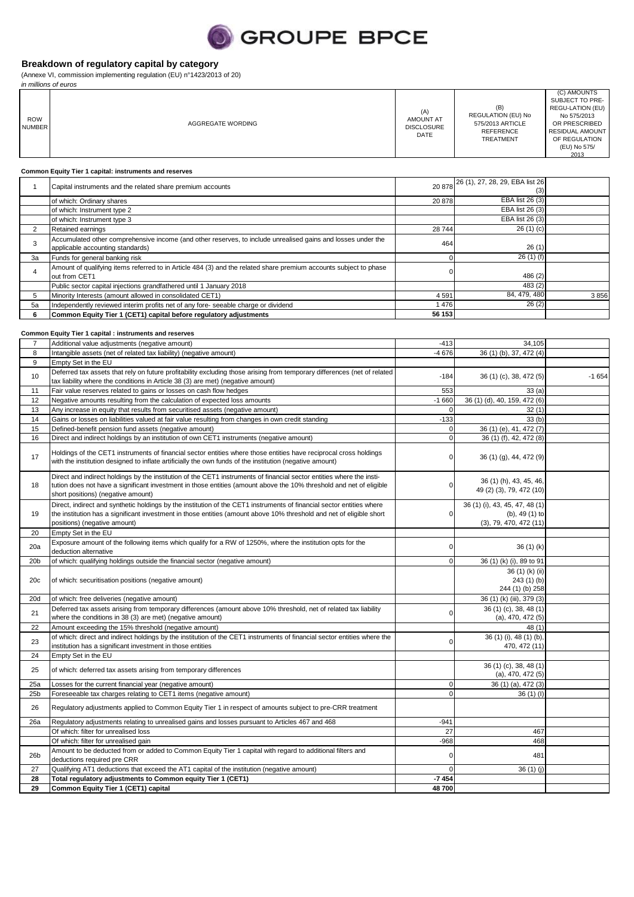

(Annexe VI, commission implementing regulation (EU) n°1423/2013 of 20) *in millions of euros*

| <b>ROW</b><br><b>NUMBER</b> | AGGREGATE WORDING                                                                                                                                                                                                                                                                  | (A)<br>AMOUNT AT<br><b>DISCLOSURE</b><br>DATE | (B)<br>REGULATION (EU) No<br>575/2013 ARTICLE<br><b>REFERENCE</b><br>TREATMENT | (C) AMOUNTS<br>SUBJECT TO PRE-<br>REGU-LATION (EU)<br>No 575/2013<br>OR PRESCRIBED<br>RESIDUAL AMOUNT<br>OF REGULATION<br>(EU) No 575/<br>2013 |
|-----------------------------|------------------------------------------------------------------------------------------------------------------------------------------------------------------------------------------------------------------------------------------------------------------------------------|-----------------------------------------------|--------------------------------------------------------------------------------|------------------------------------------------------------------------------------------------------------------------------------------------|
|                             | Common Equity Tier 1 capital: instruments and reserves                                                                                                                                                                                                                             |                                               |                                                                                |                                                                                                                                                |
| $\mathbf{1}$                | Capital instruments and the related share premium accounts                                                                                                                                                                                                                         | 20 878                                        | 26 (1), 27, 28, 29, EBA list 26<br>(3)                                         |                                                                                                                                                |
|                             | of which: Ordinary shares                                                                                                                                                                                                                                                          | 20 878                                        | EBA list 26 (3)                                                                |                                                                                                                                                |
|                             | of which: Instrument type 2                                                                                                                                                                                                                                                        |                                               | EBA list 26 (3)                                                                |                                                                                                                                                |
| $\overline{c}$              | of which: Instrument type 3                                                                                                                                                                                                                                                        | 28744                                         | EBA list 26 (3)<br>26(1)(c)                                                    |                                                                                                                                                |
|                             | Retained earnings<br>Accumulated other comprehensive income (and other reserves, to include unrealised gains and losses under the                                                                                                                                                  |                                               |                                                                                |                                                                                                                                                |
| 3                           | applicable accounting standards)                                                                                                                                                                                                                                                   | 464                                           | 26(1)                                                                          |                                                                                                                                                |
| 3a                          | Funds for general banking risk                                                                                                                                                                                                                                                     | $\mathbf 0$                                   | 26(1)(f)                                                                       |                                                                                                                                                |
| $\overline{4}$              | Amount of qualifying items referred to in Article 484 (3) and the related share premium accounts subject to phase<br>out from CET1                                                                                                                                                 | $\Omega$                                      | 486 (2)                                                                        |                                                                                                                                                |
|                             | Public sector capital injections grandfathered until 1 January 2018                                                                                                                                                                                                                |                                               | 483 (2)                                                                        |                                                                                                                                                |
| 5                           | Minority Interests (amount allowed in consolidated CET1)                                                                                                                                                                                                                           | 4 5 91                                        | 84, 479, 480                                                                   | 3856                                                                                                                                           |
| 5a<br>6                     | Independently reviewed interim profits net of any fore- seeable charge or dividend<br>Common Equity Tier 1 (CET1) capital before regulatory adjustments                                                                                                                            | 1476<br>56 153                                | 26(2)                                                                          |                                                                                                                                                |
|                             |                                                                                                                                                                                                                                                                                    |                                               |                                                                                |                                                                                                                                                |
|                             | Common Equity Tier 1 capital : instruments and reserves                                                                                                                                                                                                                            |                                               |                                                                                |                                                                                                                                                |
| $\overline{7}$              | Additional value adjustments (negative amount)                                                                                                                                                                                                                                     | $-413$                                        | 34,105                                                                         |                                                                                                                                                |
| 8<br>9                      | Intangible assets (net of related tax liability) (negative amount)<br>Empty Set in the EU                                                                                                                                                                                          | $-4676$                                       | 36 (1) (b), 37, 472 (4)                                                        |                                                                                                                                                |
|                             | Deferred tax assets that rely on future profitability excluding those arising from temporary differences (net of related                                                                                                                                                           |                                               |                                                                                |                                                                                                                                                |
| 10                          | tax liability where the conditions in Article 38 (3) are met) (negative amount)                                                                                                                                                                                                    | $-184$                                        | 36 (1) (c), 38, 472 (5)                                                        | $-1654$                                                                                                                                        |
| 11                          | Fair value reserves related to gains or losses on cash flow hedges                                                                                                                                                                                                                 | 553                                           | 33(a)                                                                          |                                                                                                                                                |
| 12<br>13                    | Negative amounts resulting from the calculation of expected loss amounts<br>Any increase in equity that results from securitised assets (negative amount)                                                                                                                          | $-1660$<br>$\Omega$                           | 36 (1) (d), 40, 159, 472 (6)<br>32(1)                                          |                                                                                                                                                |
| 14                          | Gains or losses on liabilities valued at fair value resulting from changes in own credit standing                                                                                                                                                                                  | $-133$                                        | 33(b)                                                                          |                                                                                                                                                |
| 15                          | Defined-benefit pension fund assets (negative amount)                                                                                                                                                                                                                              | $\mathbf 0$                                   | 36 (1) (e), 41, 472 (7)                                                        |                                                                                                                                                |
| 16                          | Direct and indirect holdings by an institution of own CET1 instruments (negative amount)                                                                                                                                                                                           | $\mathbf{0}$                                  | 36 (1) (f), 42, 472 (8)                                                        |                                                                                                                                                |
| 17                          | Holdings of the CET1 instruments of financial sector entities where those entities have reciprocal cross holdings<br>with the institution designed to inflate artificially the own funds of the institution (negative amount)                                                      | 0                                             | 36 (1) (g), 44, 472 (9)                                                        |                                                                                                                                                |
| 18                          | Direct and indirect holdings by the institution of the CET1 instruments of financial sector entities where the insti-<br>tution does not have a significant investment in those entities (amount above the 10% threshold and net of eligible<br>short positions) (negative amount) |                                               | 36 (1) (h), 43, 45, 46,<br>49 (2) (3), 79, 472 (10)                            |                                                                                                                                                |
| 19                          | Direct, indirect and synthetic holdings by the institution of the CET1 instruments of financial sector entities where<br>the institution has a significant investment in those entities (amount above 10% threshold and net of eligible short<br>positions) (negative amount)      | $\Omega$                                      | 36 (1) (i), 43, 45, 47, 48 (1)<br>(b), 49 (1) to<br>(3), 79, 470, 472(11)      |                                                                                                                                                |
| 20                          | Empty Set in the EU                                                                                                                                                                                                                                                                |                                               |                                                                                |                                                                                                                                                |
| 20a                         | Exposure amount of the following items which qualify for a RW of 1250%, where the institution opts for the<br>deduction alternative                                                                                                                                                | $\Omega$                                      | 36(1)(k)                                                                       |                                                                                                                                                |
| 20 <sub>b</sub>             | of which: qualifying holdings outside the financial sector (negative amount)                                                                                                                                                                                                       | $\overline{0}$                                | 36 (1) (k) (i), 89 to 91                                                       |                                                                                                                                                |
|                             |                                                                                                                                                                                                                                                                                    |                                               | 36 (1) (k) (ii)                                                                |                                                                                                                                                |
| 20c                         | of which: securitisation positions (negative amount)                                                                                                                                                                                                                               |                                               | 243 (1) (b)<br>244 (1) (b) 258                                                 |                                                                                                                                                |
| 20d                         | of which: free deliveries (negative amount)                                                                                                                                                                                                                                        |                                               | 36 (1) (k) (iii), 379 (3)                                                      |                                                                                                                                                |
| 21                          | Deferred tax assets arising from temporary differences (amount above 10% threshold, net of related tax liability                                                                                                                                                                   |                                               | 36 (1) (c), 38, 48 (1)                                                         |                                                                                                                                                |
|                             | where the conditions in 38 (3) are met) (negative amount)<br>Amount exceeding the 15% threshold (negative amount)                                                                                                                                                                  |                                               | (a), 470, 472 (5)                                                              |                                                                                                                                                |
| 22                          | of which: direct and indirect holdings by the institution of the CET1 instruments of financial sector entities where the                                                                                                                                                           |                                               | 48 (1)<br>36 (1) (i), 48 (1) (b),                                              |                                                                                                                                                |
| 23                          | institution has a significant investment in those entities                                                                                                                                                                                                                         |                                               | 470, 472 (11)                                                                  |                                                                                                                                                |
| 24                          | Empty Set in the EU                                                                                                                                                                                                                                                                |                                               |                                                                                |                                                                                                                                                |
| 25                          | of which: deferred tax assets arising from temporary differences                                                                                                                                                                                                                   |                                               | 36 (1) (c), 38, 48 (1)<br>(a), 470, 472(5)                                     |                                                                                                                                                |
| 25a                         | Losses for the current financial year (negative amount)                                                                                                                                                                                                                            | $\overline{0}$                                | 36 (1) (a), 472 (3)                                                            |                                                                                                                                                |
| 25 <sub>b</sub>             | Foreseeable tax charges relating to CET1 items (negative amount)                                                                                                                                                                                                                   | $\mathbf 0$                                   | $36(1)$ (l)                                                                    |                                                                                                                                                |
| 26                          | Regulatory adjustments applied to Common Equity Tier 1 in respect of amounts subject to pre-CRR treatment                                                                                                                                                                          |                                               |                                                                                |                                                                                                                                                |
| 26a                         | Regulatory adjustments relating to unrealised gains and losses pursuant to Articles 467 and 468                                                                                                                                                                                    | $-941$                                        |                                                                                |                                                                                                                                                |
|                             | Of which: filter for unrealised loss<br>Of which: filter for unrealised gain                                                                                                                                                                                                       | 27<br>$-968$                                  | 467<br>468                                                                     |                                                                                                                                                |
| 26 <sub>b</sub>             | Amount to be deducted from or added to Common Equity Tier 1 capital with regard to additional filters and<br>deductions required pre CRR                                                                                                                                           | 0                                             | 481                                                                            |                                                                                                                                                |
| 27                          | Qualifying AT1 deductions that exceed the AT1 capital of the institution (negative amount)                                                                                                                                                                                         |                                               | 36 (1) (j)                                                                     |                                                                                                                                                |
| 28<br>29                    | Total regulatory adjustments to Common equity Tier 1 (CET1)<br>Common Equity Tier 1 (CET1) capital                                                                                                                                                                                 | $-7454$<br>48700                              |                                                                                |                                                                                                                                                |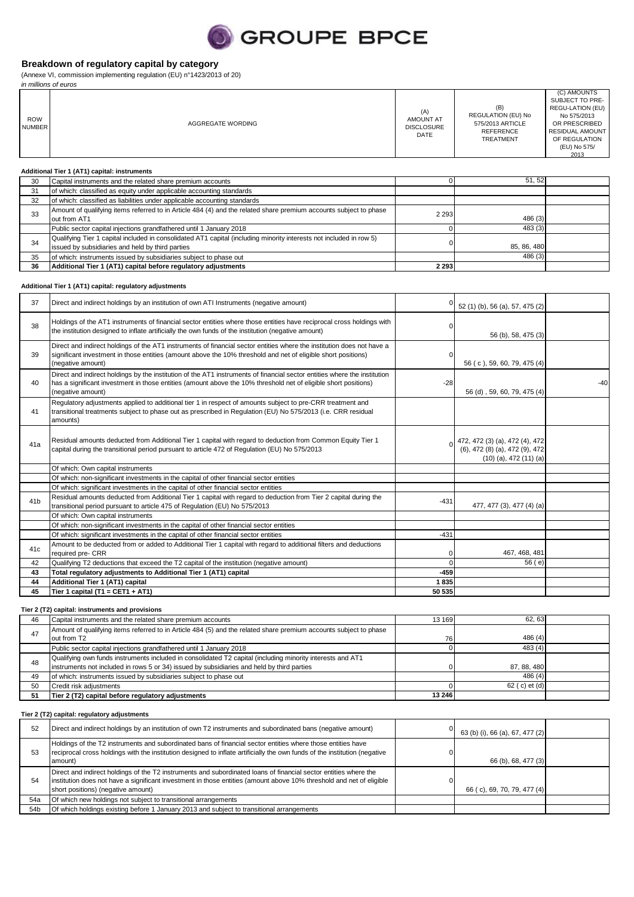

(Annexe VI, commission implementing regulation (EU) n°1423/2013 of 20)

|                             | in millions of euros                                                                                                                                                                                                                                              |                                               |                                                                                                |                                                                                                                                                |
|-----------------------------|-------------------------------------------------------------------------------------------------------------------------------------------------------------------------------------------------------------------------------------------------------------------|-----------------------------------------------|------------------------------------------------------------------------------------------------|------------------------------------------------------------------------------------------------------------------------------------------------|
| <b>ROW</b><br><b>NUMBER</b> | AGGREGATE WORDING                                                                                                                                                                                                                                                 | (A)<br>AMOUNT AT<br><b>DISCLOSURE</b><br>DATE | (B)<br>REGULATION (EU) No<br>575/2013 ARTICLE<br><b>REFERENCE</b><br>TREATMENT                 | (C) AMOUNTS<br>SUBJECT TO PRE-<br>REGU-LATION (EU)<br>No 575/2013<br>OR PRESCRIBED<br>RESIDUAL AMOUNT<br>OF REGULATION<br>(EU) No 575/<br>2013 |
|                             | Additional Tier 1 (AT1) capital: instruments                                                                                                                                                                                                                      |                                               |                                                                                                |                                                                                                                                                |
| 30                          | Capital instruments and the related share premium accounts                                                                                                                                                                                                        | $\Omega$                                      | 51, 52                                                                                         |                                                                                                                                                |
| 31                          | of which: classified as equity under applicable accounting standards                                                                                                                                                                                              |                                               |                                                                                                |                                                                                                                                                |
| 32                          | of which: classified as liabilities under applicable accounting standards                                                                                                                                                                                         |                                               |                                                                                                |                                                                                                                                                |
| 33                          | Amount of qualifying items referred to in Article 484 (4) and the related share premium accounts subject to phase<br>out from AT1                                                                                                                                 | 2 2 9 3                                       | 486 (3)                                                                                        |                                                                                                                                                |
|                             | Public sector capital injections grandfathered until 1 January 2018                                                                                                                                                                                               | $\mathbf 0$                                   | 483 (3)                                                                                        |                                                                                                                                                |
| 34                          | Qualifying Tier 1 capital included in consolidated AT1 capital (including minority interests not included in row 5)<br>issued by subsidiaries and held by third parties                                                                                           | $\Omega$                                      | 85, 86, 480                                                                                    |                                                                                                                                                |
| 35                          | of which: instruments issued by subsidiaries subject to phase out                                                                                                                                                                                                 |                                               | 486(3)                                                                                         |                                                                                                                                                |
| 36                          | Additional Tier 1 (AT1) capital before regulatory adjustments                                                                                                                                                                                                     | 2 2 9 3                                       |                                                                                                |                                                                                                                                                |
|                             | Additional Tier 1 (AT1) capital: regulatory adjustments                                                                                                                                                                                                           |                                               |                                                                                                |                                                                                                                                                |
| 37                          | Direct and indirect holdings by an institution of own ATI Instruments (negative amount)                                                                                                                                                                           | $\Omega$                                      | 52 (1) (b), 56 (a), 57, 475 (2)                                                                |                                                                                                                                                |
| 38                          | Holdings of the AT1 instruments of financial sector entities where those entities have reciprocal cross holdings with<br>the institution designed to inflate artificially the own funds of the institution (negative amount)                                      | 0                                             | 56 (b), 58, 475 (3)                                                                            |                                                                                                                                                |
| 39                          | Direct and indirect holdings of the AT1 instruments of financial sector entities where the institution does not have a<br>significant investment in those entities (amount above the 10% threshold and net of eligible short positions)<br>(negative amount)      | $\Omega$                                      | 56 (c), 59, 60, 79, 475 (4)                                                                    |                                                                                                                                                |
| 40                          | Direct and indirect holdings by the institution of the AT1 instruments of financial sector entities where the institution<br>has a significant investment in those entities (amount above the 10% threshold net of eligible short positions)<br>(negative amount) | $-28$                                         | 56 (d), 59, 60, 79, 475 (4)                                                                    | $-40$                                                                                                                                          |
| 41                          | Regulatory adjustments applied to additional tier 1 in respect of amounts subject to pre-CRR treatment and<br>transitional treatments subject to phase out as prescribed in Regulation (EU) No 575/2013 (i.e. CRR residual<br>amounts)                            |                                               |                                                                                                |                                                                                                                                                |
| 41a                         | Residual amounts deducted from Additional Tier 1 capital with regard to deduction from Common Equity Tier 1<br>capital during the transitional period pursuant to article 472 of Regulation (EU) No 575/2013                                                      |                                               | 472, 472 (3) (a), 472 (4), 472<br>(6), 472 (8) (a), 472 (9), 472<br>$(10)$ (a), 472 $(11)$ (a) |                                                                                                                                                |
|                             | Of which: Own capital instruments                                                                                                                                                                                                                                 |                                               |                                                                                                |                                                                                                                                                |
|                             | Of which: non-significant investments in the capital of other financial sector entities                                                                                                                                                                           |                                               |                                                                                                |                                                                                                                                                |
|                             | Of which: significant investments in the capital of other financial sector entities                                                                                                                                                                               |                                               |                                                                                                |                                                                                                                                                |
| 41 <sub>b</sub>             | Residual amounts deducted from Additional Tier 1 capital with regard to deduction from Tier 2 capital during the<br>transitional period pursuant to article 475 of Regulation (EU) No 575/2013                                                                    | $-431$                                        | 477, 477 (3), 477 (4) (a)                                                                      |                                                                                                                                                |
|                             | Of which: Own capital instruments                                                                                                                                                                                                                                 |                                               |                                                                                                |                                                                                                                                                |
|                             | Of which: non-significant investments in the capital of other financial sector entities                                                                                                                                                                           |                                               |                                                                                                |                                                                                                                                                |
|                             | Of which: significant investments in the capital of other financial sector entities                                                                                                                                                                               | $-431$                                        |                                                                                                |                                                                                                                                                |
| 41c                         | Amount to be deducted from or added to Additional Tier 1 capital with regard to additional filters and deductions<br>required pre- CRR                                                                                                                            | 0                                             | 467, 468, 481                                                                                  |                                                                                                                                                |
| 42                          | Qualifying T2 deductions that exceed the T2 capital of the institution (negative amount)                                                                                                                                                                          | $\Omega$                                      | 56(e)                                                                                          |                                                                                                                                                |

**Tier 2 (T2) capital: instruments and provisions**

| 46 | Capital instruments and the related share premium accounts                                                        | 13 169    | 62.63         |  |
|----|-------------------------------------------------------------------------------------------------------------------|-----------|---------------|--|
| 47 | Amount of qualifying items referred to in Article 484 (5) and the related share premium accounts subject to phase |           |               |  |
|    | out from T2                                                                                                       | <b>76</b> | 486(4)        |  |
|    | Public sector capital injections grandfathered until 1 January 2018                                               |           | 483(4)        |  |
| 48 | Qualifying own funds instruments included in consolidated T2 capital (including minority interests and AT1        |           |               |  |
|    | instruments not included in rows 5 or 34) issued by subsidiaries and held by third parties                        |           | 87, 88, 480   |  |
| 49 | of which: instruments issued by subsidiaries subject to phase out                                                 |           | 486(4)        |  |
| 50 | Credit risk adiustments                                                                                           |           | 62 (c) et (d) |  |
| 51 | Tier 2 (T2) capital before regulatory adjustments                                                                 | 13 246    |               |  |

**43 Total regulatory adjustments to Additional Tier 1 (AT1) capital -459 44 Additional Tier 1 (AT1) capital 1 835 45 Tier 1 capital (T1 = CET1 + AT1) 50 535**

**Tier 2 (T2) capital: regulatory adjustments**

| 52  | Direct and indirect holdings by an institution of own T2 instruments and subordinated bans (negative amount)                                                                                                                                                                   | 63 (b) (i), 66 (a), 67, 477 (2) |  |
|-----|--------------------------------------------------------------------------------------------------------------------------------------------------------------------------------------------------------------------------------------------------------------------------------|---------------------------------|--|
| 53  | Holdings of the T2 instruments and subordinated bans of financial sector entities where those entities have<br>reciprocal cross holdings with the institution designed to inflate artificially the own funds of the institution (negative<br>amount)                           | 66 (b), 68, 477 (3)             |  |
| 54  | Direct and indirect holdings of the T2 instruments and subordinated loans of financial sector entities where the<br>institution does not have a significant investment in those entities (amount above 10% threshold and net of eligible<br>short positions) (negative amount) | 66 (c), 69, 70, 79, 477 (4)     |  |
| 54a | Of which new holdings not subject to transitional arrangements                                                                                                                                                                                                                 |                                 |  |
| 54b | Of which holdings existing before 1 January 2013 and subject to transitional arrangements                                                                                                                                                                                      |                                 |  |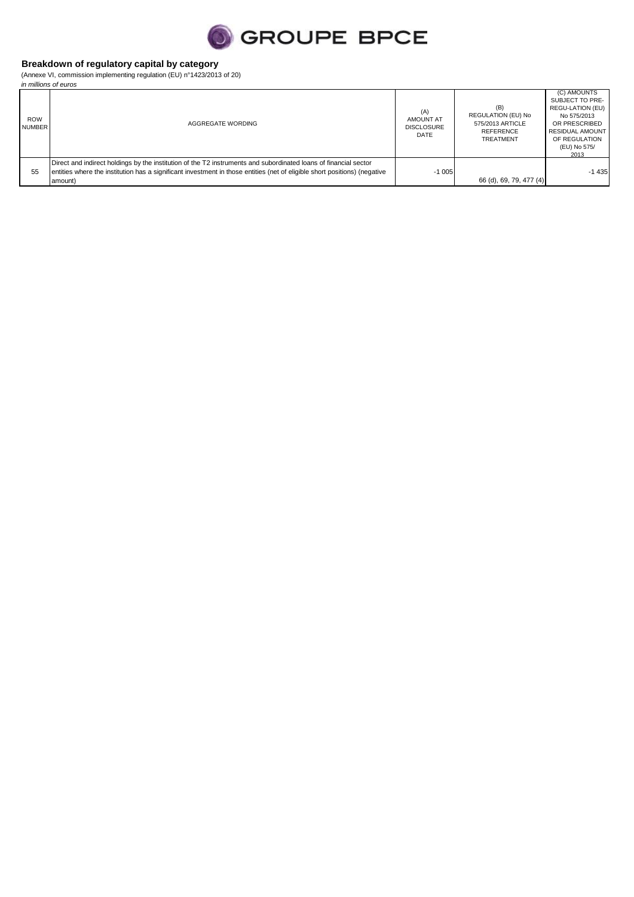

(Annexe VI, commission implementing regulation (EU) n°1423/2013 of 20) *in millions of euros*

| <b>ROW</b><br><b>NUMBER</b> | AGGREGATE WORDING                                                                                                                                                                                                                                        | (A)<br><b>AMOUNT AT</b><br><b>DISCLOSURE</b><br>DATE | (B)<br>REGULATION (EU) No<br>575/2013 ARTICLE<br><b>REFERENCE</b><br><b>TREATMENT</b> | (C) AMOUNTS<br>SUBJECT TO PRE-<br>REGU-LATION (EU)<br>No 575/2013<br>OR PRESCRIBED<br><b>RESIDUAL AMOUNT</b><br>OF REGULATION<br>(EU) No 575/<br>2013 |
|-----------------------------|----------------------------------------------------------------------------------------------------------------------------------------------------------------------------------------------------------------------------------------------------------|------------------------------------------------------|---------------------------------------------------------------------------------------|-------------------------------------------------------------------------------------------------------------------------------------------------------|
| 55                          | Direct and indirect holdings by the institution of the T2 instruments and subordinated loans of financial sector<br>entities where the institution has a significant investment in those entities (net of eligible short positions) (negative<br>amount) | $-1005$                                              | 66 (d), 69, 79, 477 (4)                                                               | $-1435$                                                                                                                                               |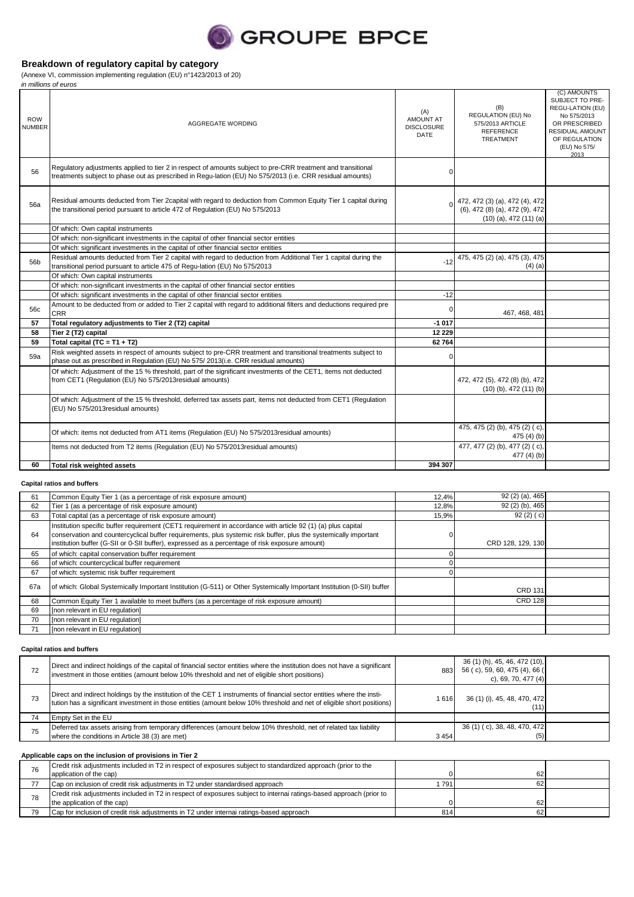

(Annexe VI, commission implementing regulation (EU) n°1423/2013 of 20) *in millions of euros*

| <b>ROW</b><br><b>NUMBER</b> | <b>AGGREGATE WORDING</b>                                                                                                                                                                                                  | (A)<br><b>AMOUNT AT</b><br><b>DISCLOSURE</b><br><b>DATE</b> | (B)<br>REGULATION (EU) No<br>575/2013 ARTICLE<br><b>REFERENCE</b><br>TREATMENT                 | (C) AMOUNTS<br>SUBJECT TO PRE-<br>REGU-LATION (EU)<br>No 575/2013<br>OR PRESCRIBED<br>RESIDUAL AMOUNT<br>OF REGULATION<br>(EU) No 575/<br>2013 |
|-----------------------------|---------------------------------------------------------------------------------------------------------------------------------------------------------------------------------------------------------------------------|-------------------------------------------------------------|------------------------------------------------------------------------------------------------|------------------------------------------------------------------------------------------------------------------------------------------------|
| 56                          | Regulatory adjustments applied to tier 2 in respect of amounts subject to pre-CRR treatment and transitional<br>treatments subject to phase out as prescribed in Requ-lation (EU) No 575/2013 (i.e. CRR residual amounts) | $\Omega$                                                    |                                                                                                |                                                                                                                                                |
| 56a                         | Residual amounts deducted from Tier 2capital with regard to deduction from Common Equity Tier 1 capital during<br>the transitional period pursuant to article 472 of Regulation (EU) No 575/2013                          |                                                             | 472, 472 (3) (a), 472 (4), 472<br>(6), 472 (8) (a), 472 (9), 472<br>$(10)$ (a), 472 $(11)$ (a) |                                                                                                                                                |
|                             | Of which: Own capital instruments                                                                                                                                                                                         |                                                             |                                                                                                |                                                                                                                                                |
|                             | Of which: non-significant investments in the capital of other financial sector entities                                                                                                                                   |                                                             |                                                                                                |                                                                                                                                                |
|                             | Of which: significant investments in the capital of other financial sector entities                                                                                                                                       |                                                             |                                                                                                |                                                                                                                                                |
| 56b                         | Residual amounts deducted from Tier 2 capital with regard to deduction from Additional Tier 1 capital during the<br>transitional period pursuant to article 475 of Regu-lation (EU) No 575/2013                           | $-12$                                                       | 475, 475 (2) (a), 475 (3), 475<br>$(4)$ (a)                                                    |                                                                                                                                                |
|                             | Of which: Own capital instruments                                                                                                                                                                                         |                                                             |                                                                                                |                                                                                                                                                |
|                             | Of which: non-significant investments in the capital of other financial sector entities                                                                                                                                   |                                                             |                                                                                                |                                                                                                                                                |
|                             | Of which: significant investments in the capital of other financial sector entities                                                                                                                                       | $-12$                                                       |                                                                                                |                                                                                                                                                |
| 56c                         | Amount to be deducted from or added to Tier 2 capital with regard to additional filters and deductions required pre<br><b>CRR</b>                                                                                         | $\Omega$                                                    | 467, 468, 481                                                                                  |                                                                                                                                                |
| 57                          | Total regulatory adjustments to Tier 2 (T2) capital                                                                                                                                                                       | $-1017$                                                     |                                                                                                |                                                                                                                                                |
| 58                          | Tier 2 (T2) capital                                                                                                                                                                                                       | 12 2 2 9                                                    |                                                                                                |                                                                                                                                                |
| 59                          | Total capital (TC = $T1 + T2$ )                                                                                                                                                                                           | 62764                                                       |                                                                                                |                                                                                                                                                |
| 59a                         | Risk weighted assets in respect of amounts subject to pre-CRR treatment and transitional treatments subject to<br>phase out as prescribed in Regulation (EU) No 575/2013(i.e. CRR residual amounts)                       | n                                                           |                                                                                                |                                                                                                                                                |
|                             | Of which: Adjustment of the 15 % threshold, part of the significant investments of the CET1, items not deducted<br>from CET1 (Regulation (EU) No 575/2013 residual amounts)                                               |                                                             | 472, 472 (5), 472 (8) (b), 472<br>$(10)$ (b), 472 $(11)$ (b)                                   |                                                                                                                                                |
|                             | Of which: Adjustment of the 15 % threshold, deferred tax assets part, items not deducted from CET1 (Regulation<br>(EU) No 575/2013 residual amounts)                                                                      |                                                             |                                                                                                |                                                                                                                                                |
|                             | Of which: items not deducted from AT1 items (Regulation (EU) No 575/2013 residual amounts)                                                                                                                                |                                                             | 475, 475 (2) (b), 475 (2) (c),<br>475 $(4)(b)$                                                 |                                                                                                                                                |
|                             | Items not deducted from T2 items (Regulation (EU) No 575/2013 residual amounts)                                                                                                                                           |                                                             | 477, 477 (2) (b), 477 (2) (c),<br>477 $(4)$ $(b)$                                              |                                                                                                                                                |
| 60                          | Total risk weighted assets                                                                                                                                                                                                | 394 307                                                     |                                                                                                |                                                                                                                                                |

### **Capital ratios and buffers**

| 61  | Common Equity Tier 1 (as a percentage of risk exposure amount)                                                                                                                                                                                                                                                                     | 12,4% | $92(2)(a)$ , 465  |  |
|-----|------------------------------------------------------------------------------------------------------------------------------------------------------------------------------------------------------------------------------------------------------------------------------------------------------------------------------------|-------|-------------------|--|
| 62  | Tier 1 (as a percentage of risk exposure amount)                                                                                                                                                                                                                                                                                   | 12,8% | 92 (2) (b), 465   |  |
| 63  | Total capital (as a percentage of risk exposure amount)                                                                                                                                                                                                                                                                            | 15,9% | 92(2)(c)          |  |
| 64  | Institution specific buffer requirement (CET1 requirement in accordance with article 92 (1) (a) plus capital<br>conservation and countercyclical buffer requirements, plus systemic risk buffer, plus the systemically important<br>institution buffer (G-SII or 0-SII buffer), expressed as a percentage of risk exposure amount) |       | CRD 128, 129, 130 |  |
| 65  | of which: capital conservation buffer requirement                                                                                                                                                                                                                                                                                  |       |                   |  |
| 66  | of which: countercyclical buffer requirement                                                                                                                                                                                                                                                                                       |       |                   |  |
| 67  | of which: systemic risk buffer requirement                                                                                                                                                                                                                                                                                         |       |                   |  |
| 67a | i which: Global Systemically Important Institution (G-511) or Other Systemically Important Institution (0-SII) buffer<br><b>ot</b>                                                                                                                                                                                                 |       | <b>CRD 131</b>    |  |
| 68  | Common Equity Tier 1 available to meet buffers (as a percentage of risk exposure amount)                                                                                                                                                                                                                                           |       | <b>CRD 128</b>    |  |
| 69  | [non relevant in EU regulation]                                                                                                                                                                                                                                                                                                    |       |                   |  |
| 70  | [non relevant in EU regulation]                                                                                                                                                                                                                                                                                                    |       |                   |  |
| 71  | [non relevant in EU regulation]                                                                                                                                                                                                                                                                                                    |       |                   |  |

### **Capital ratios and buffers**

| 72 | Direct and indirect holdings of the capital of financial sector entities where the institution does not have a significant<br>investment in those entities (amount below 10% threshold and net of eligible short positions)                      | 883     | 36 (1) (h), 45, 46, 472 (10),<br>56 (c), 59, 60, 475 (4), 66 (<br>c), 69, 70, 477 $(4)$ |  |
|----|--------------------------------------------------------------------------------------------------------------------------------------------------------------------------------------------------------------------------------------------------|---------|-----------------------------------------------------------------------------------------|--|
| 73 | Direct and indirect holdings by the institution of the CET 1 instruments of financial sector entities where the insti-<br>tution has a significant investment in those entities (amount below 10% threshold and net of eligible short positions) | 616     | 36 (1) (i), 45, 48, 470, 472<br>(11)                                                    |  |
| 74 | Empty Set in the EU                                                                                                                                                                                                                              |         |                                                                                         |  |
| 75 | Deferred tax assets arising from temporary differences (amount below 10% threshold, net of related tax liability<br>where the conditions in Article 38 (3) are met)                                                                              | 3 4 5 4 | 36 (1) (c), 38, 48, 470, 472<br>(5)                                                     |  |

### **Applicable caps on the inclusion of provisions in Tier 2**

| 76 | Credit risk adjustments included in T2 in respect of exposures subject to standardized approach (prior to the       |     |    |  |
|----|---------------------------------------------------------------------------------------------------------------------|-----|----|--|
|    | application of the cap)                                                                                             |     | 62 |  |
|    | Cap on inclusion of credit risk adjustments in T2 under standardised approach                                       | 791 | 62 |  |
| 78 | Credit risk adjustments included in T2 in respect of exposures subject to internai ratings-based approach (prior to |     |    |  |
|    | the application of the cap)                                                                                         |     | 62 |  |
| 79 | Cap for inclusion of credit risk adjustments in T2 under internal ratings-based approach                            | 814 | 62 |  |